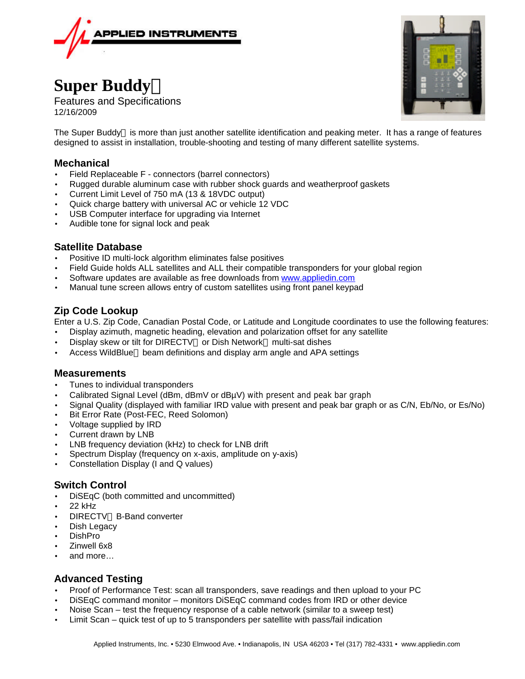

# **Super Buddyä**

Features and Specifications 12/16/2009

The Super Buddy<sup>™</sup> is more than just another satellite identification and peaking meter. It has a range of features designed to assist in installation, trouble-shooting and testing of many different satellite systems.

# **Mechanical**

- Field Replaceable F connectors (barrel connectors)
- Rugged durable aluminum case with rubber shock guards and weatherproof gaskets
- Current Limit Level of 750 mA (13 & 18VDC output)
- Quick charge battery with universal AC or vehicle 12 VDC
- USB Computer interface for upgrading via Internet
- Audible tone for signal lock and peak

## **Satellite Database**

- Positive ID multi-lock algorithm eliminates false positives
- Field Guide holds ALL satellites and ALL their compatible transponders for your global region
- Software updates are available as free downloads from www.appliedin.com
- Manual tune screen allows entry of custom satellites using front panel keypad

## **Zip Code Lookup**

Enter a U.S. Zip Code, Canadian Postal Code, or Latitude and Longitude coordinates to use the following features:

- Display azimuth, magnetic heading, elevation and polarization offset for any satellite
- Display skew or tilt for DIRECTV™ or Dish Network™ multi-sat dishes
- Access WildBlue<sup>™</sup> beam definitions and display arm angle and APA settings

#### **Measurements**

- Tunes to individual transponders
- Calibrated Signal Level (dBm, dBmV or dBµV) with present and peak bar graph
- Signal Quality (displayed with familiar IRD value with present and peak bar graph or as C/N, Eb/No, or Es/No)
- Bit Error Rate (Post-FEC, Reed Solomon)
- Voltage supplied by IRD
- Current drawn by LNB
- LNB frequency deviation (kHz) to check for LNB drift
- Spectrum Display (frequency on x-axis, amplitude on y-axis)
- Constellation Display (I and Q values)

#### **Switch Control**

- DiSEqC (both committed and uncommitted)
- 22 kHz
- **DIRECTV<sup>™</sup> B-Band converter**
- Dish Legacy
- DishPro
- Zinwell 6x8
- and more…

#### **Advanced Testing**

- Proof of Performance Test: scan all transponders, save readings and then upload to your PC
- DiSEqC command monitor monitors DiSEqC command codes from IRD or other device
- Noise Scan test the frequency response of a cable network (similar to a sweep test)
- Limit Scan quick test of up to 5 transponders per satellite with pass/fail indication